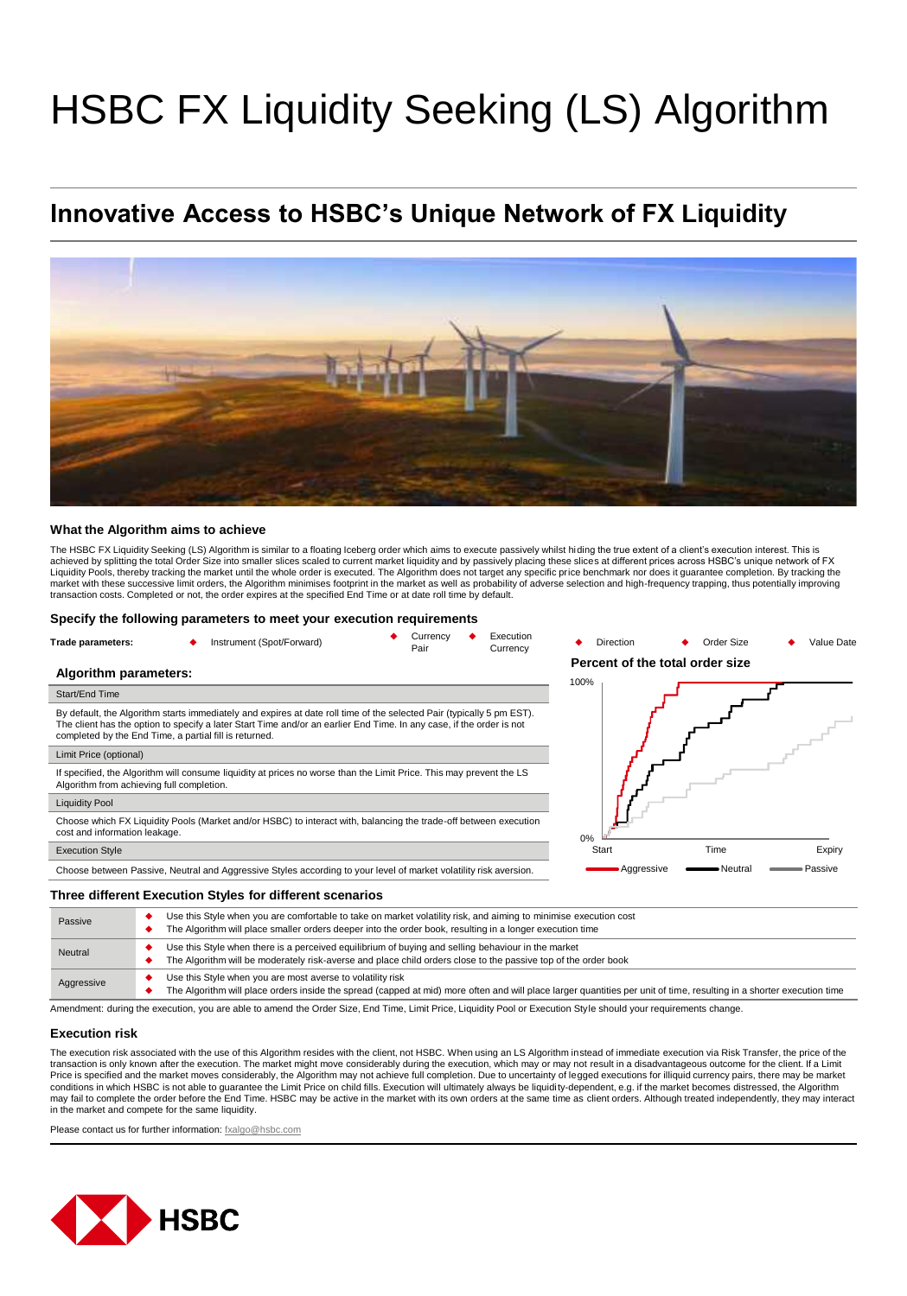# HSBC FX Liquidity Seeking (LS) Algorithm

## **Innovative Access to HSBC's Unique Network of FX Liquidity**



#### **What the Algorithm aims to achieve**

The HSBC FX Liquidity Seeking (LS) Algorithm is similar to a floating Iceberg order which aims to execute passively whilst hiding the true extent of a client's execution interest. This is achieved by splitting the total Order Size into smaller slices scaled to current market liquidity and by passively placing these slices at different prices across HSBC's unique network of FX Liquidity Pools, thereby tracking the market until the whole order is executed. The Algorithm does not target any specific price benchmark nor does it guarantee completion. By tracking the<br>market with these successive limi transaction costs. Completed or not, the order expires at the specified End Time or at date roll time by default.

#### **Specify the following parameters to meet your execution requirements**

| Trade parameters:     | Instrument (Spot/Forward) | Currencv<br>Pair | Execution<br>Currency |          | <b>Direction</b><br>Percent of the total order size | Order Size | Value Date |
|-----------------------|---------------------------|------------------|-----------------------|----------|-----------------------------------------------------|------------|------------|
| Algorithm parameters: |                           |                  |                       | $\cdots$ |                                                     |            |            |

#### Start/End Time

By default, the Algorithm starts immediately and expires at date roll time of the selected Pair (typically 5 pm EST). The client has the option to specify a later Start Time and/or an earlier End Time. In any case, if the order is not completed by the End Time, a partial fill is returned.

#### Limit Price (optional)

If specified, the Algorithm will consume liquidity at prices no worse than the Limit Price. This may prevent the LS Algorithm from achieving full completion.

#### Liquidity Pool

Choose which FX Liquidity Pools (Market and/or HSBC) to interact with, balancing the trade-off between execution cost and information leakage.

#### Execution Style

Choose between Passive, Neutral and Aggressive Styles according to your level of market volatility risk aversion.

#### **Three different Execution Styles for different scenarios**

| Passive    | Use this Style when you are comfortable to take on market volatility risk, and aiming to minimise execution cost<br>The Algorithm will place smaller orders deeper into the order book, resulting in a longer execution time        |  |  |  |
|------------|-------------------------------------------------------------------------------------------------------------------------------------------------------------------------------------------------------------------------------------|--|--|--|
| Neutral    | Use this Style when there is a perceived equilibrium of buying and selling behaviour in the market<br>The Algorithm will be moderately risk-averse and place child orders close to the passive top of the order book                |  |  |  |
| Aggressive | Use this Style when you are most averse to volatility risk<br>The Algorithm will place orders inside the spread (capped at mid) more often and will place larger quantities per unit of time, resulting in a shorter execution time |  |  |  |

Amendment: during the execution, you are able to amend the Order Size, End Time, Limit Price, Liquidity Pool or Execution Style should your requirements change.

#### **Execution risk**

The execution risk associated with the use of this Algorithm resides with the client, not HSBC. When using an LS Algorithm instead of immediate execution via Risk Transfer, the price of the transaction is only known after the execution. The market might move considerably during the execution, which may or may not result in a disadvantageous outcome for the client. If a Limit<br>Price is specified and the market conditions in which HSBC is not able to guarantee the Limit Price on child fills. Execution will ultimately always be liquidity-dependent, e.g. if the market becomes distressed, the Algorithm may fail to complete the order before the End Time. HSBC may be active in the market with its own orders at the same time as client orders. Although treated independently, they may interact in the market and compete for the same liquidity.

Please contact us for further information: [fxalgo@hsbc.com](mailto:fxalgo@hsbc.com)